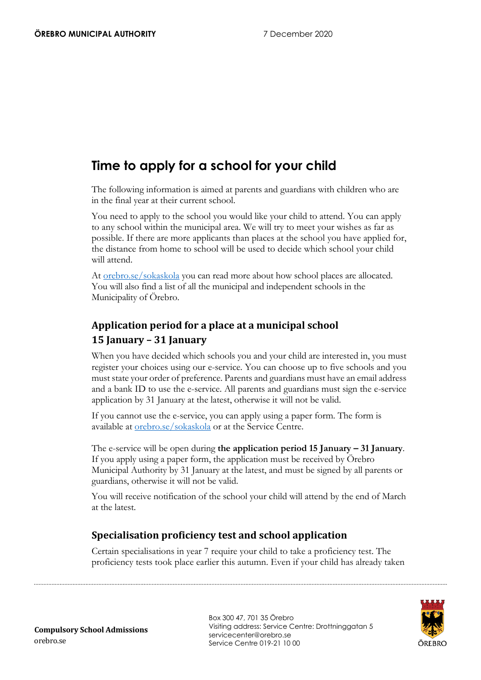# **Time to apply for a school for your child**

The following information is aimed at parents and guardians with children who are in the final year at their current school.

You need to apply to the school you would like your child to attend. You can apply to any school within the municipal area. We will try to meet your wishes as far as possible. If there are more applicants than places at the school you have applied for, the distance from home to school will be used to decide which school your child will attend.

At [orebro.se/sokaskola](https://www.orebro.se/sokaskola) you can read more about how school places are allocated. You will also find a list of all the municipal and independent schools in the Municipality of Örebro.

## **Application period for a place at a municipal school 15 January – 31 January**

When you have decided which schools you and your child are interested in, you must register your choices using our e-service. You can choose up to five schools and you must state your order of preference. Parents and guardians must have an email address and a bank ID to use the e-service. All parents and guardians must sign the e-service application by 31 January at the latest, otherwise it will not be valid.

If you cannot use the e-service, you can apply using a paper form. The form is available at [orebro.se/sokaskola](https://www.orebro.se/sokaskola) or at the Service Centre.

The e-service will be open during **the application period 15 January – 31 January**. If you apply using a paper form, the application must be received by Örebro Municipal Authority by 31 January at the latest, and must be signed by all parents or guardians, otherwise it will not be valid.

You will receive notification of the school your child will attend by the end of March at the latest.

### **Specialisation proficiency test and school application**

Certain specialisations in year 7 require your child to take a proficiency test. The proficiency tests took place earlier this autumn. Even if your child has already taken



Box 300 47, 701 35 Örebro Visiting address: Service Centre: Drottninggatan 5 servicecenter@orebro.se Service Centre 019-21 10 00